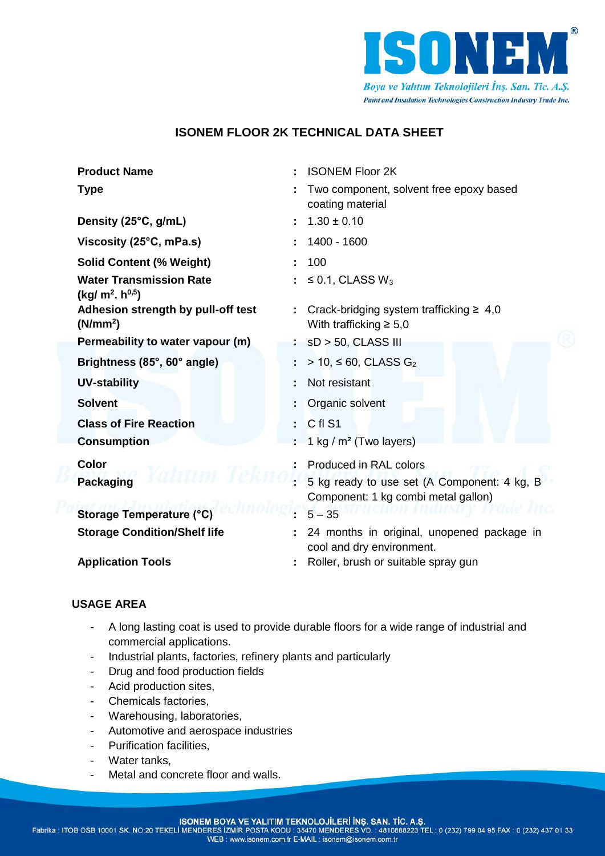

# **ISONEM FLOOR 2K TECHNICAL DATA SHEET**

| <b>Product Name</b>                                                     | <b>ISONEM Floor 2K</b>                                                             |  |
|-------------------------------------------------------------------------|------------------------------------------------------------------------------------|--|
| <b>Type</b>                                                             | Two component, solvent free epoxy based<br>coating material                        |  |
| Density (25°C, g/mL)                                                    | $1.30 \pm 0.10$                                                                    |  |
| Viscosity (25°C, mPa.s)                                                 | 1400 - 1600                                                                        |  |
| <b>Solid Content (% Weight)</b>                                         | 100                                                                                |  |
| <b>Water Transmission Rate</b><br>(kg/m <sup>2</sup> h <sup>0,5</sup> ) | $\leq$ 0.1, CLASS W <sub>3</sub>                                                   |  |
| Adhesion strength by pull-off test<br>(N/mm <sup>2</sup> )              | Crack-bridging system trafficking $\geq 4.0$<br>With trafficking $\geq 5.0$        |  |
| Permeability to water vapour (m)                                        | $sD > 50$ , CLASS III                                                              |  |
| Brightness (85°, 60° angle)                                             | > 10, ≤ 60, CLASS $G_2$                                                            |  |
| <b>UV-stability</b>                                                     | Not resistant                                                                      |  |
| <b>Solvent</b>                                                          | Organic solvent                                                                    |  |
| <b>Class of Fire Reaction</b>                                           | C fl S1<br>$\sim 100$                                                              |  |
| <b>Consumption</b>                                                      | 1 kg / $m2$ (Two layers)                                                           |  |
| <b>Color</b>                                                            | Produced in RAL colors                                                             |  |
| <b>Packaging</b>                                                        | 5 kg ready to use set (A Component: 4 kg, B<br>Component: 1 kg combi metal gallon) |  |
| <b>Storage Temperature (°C)</b>                                         | $5 - 35$                                                                           |  |
| <b>Storage Condition/Shelf life</b>                                     | 24 months in original, unopened package in<br>cool and dry environment.            |  |
| <b>Application Tools</b>                                                | Roller, brush or suitable spray gun                                                |  |

## **USAGE AREA**

- A long lasting coat is used to provide durable floors for a wide range of industrial and commercial applications.
- Industrial plants, factories, refinery plants and particularly
- Drug and food production fields
- Acid production sites,
- Chemicals factories,
- Warehousing, laboratories,
- Automotive and aerospace industries
- Purification facilities,
- Water tanks,
- Metal and concrete floor and walls.